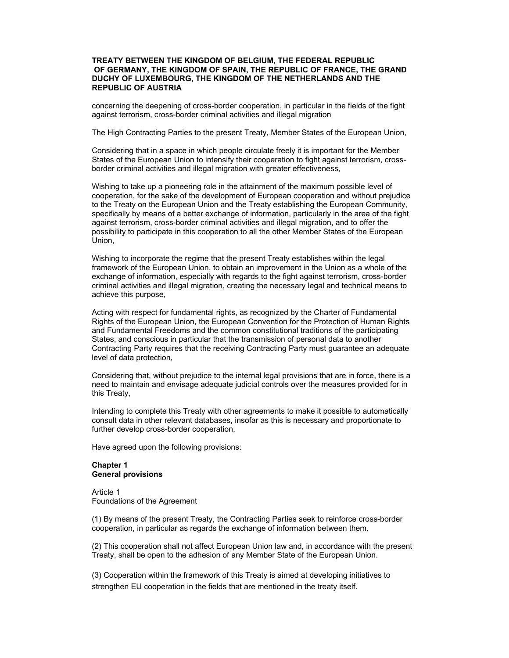## **TREATY BETWEEN THE KINGDOM OF BELGIUM, THE FEDERAL REPUBLIC OF GERMANY, THE KINGDOM OF SPAIN, THE REPUBLIC OF FRANCE, THE GRAND DUCHY OF LUXEMBOURG, THE KINGDOM OF THE NETHERLANDS AND THE REPUBLIC OF AUSTRIA**

concerning the deepening of cross-border cooperation, in particular in the fields of the fight against terrorism, cross-border criminal activities and illegal migration

The High Contracting Parties to the present Treaty, Member States of the European Union,

Considering that in a space in which people circulate freely it is important for the Member States of the European Union to intensify their cooperation to fight against terrorism, crossborder criminal activities and illegal migration with greater effectiveness,

Wishing to take up a pioneering role in the attainment of the maximum possible level of cooperation, for the sake of the development of European cooperation and without prejudice to the Treaty on the European Union and the Treaty establishing the European Community, specifically by means of a better exchange of information, particularly in the area of the fight against terrorism, cross-border criminal activities and illegal migration, and to offer the possibility to participate in this cooperation to all the other Member States of the European Union,

Wishing to incorporate the regime that the present Treaty establishes within the legal framework of the European Union, to obtain an improvement in the Union as a whole of the exchange of information, especially with regards to the fight against terrorism, cross-border criminal activities and illegal migration, creating the necessary legal and technical means to achieve this purpose,

Acting with respect for fundamental rights, as recognized by the Charter of Fundamental Rights of the European Union, the European Convention for the Protection of Human Rights and Fundamental Freedoms and the common constitutional traditions of the participating States, and conscious in particular that the transmission of personal data to another Contracting Party requires that the receiving Contracting Party must guarantee an adequate level of data protection,

Considering that, without prejudice to the internal legal provisions that are in force, there is a need to maintain and envisage adequate judicial controls over the measures provided for in this Treaty,

Intending to complete this Treaty with other agreements to make it possible to automatically consult data in other relevant databases, insofar as this is necessary and proportionate to further develop cross-border cooperation,

Have agreed upon the following provisions:

## **Chapter 1 General provisions**

Article 1 Foundations of the Agreement

(1) By means of the present Treaty, the Contracting Parties seek to reinforce cross-border cooperation, in particular as regards the exchange of information between them.

(2) This cooperation shall not affect European Union law and, in accordance with the present Treaty, shall be open to the adhesion of any Member State of the European Union.

(3) Cooperation within the framework of this Treaty is aimed at developing initiatives to strengthen EU cooperation in the fields that are mentioned in the treaty itself.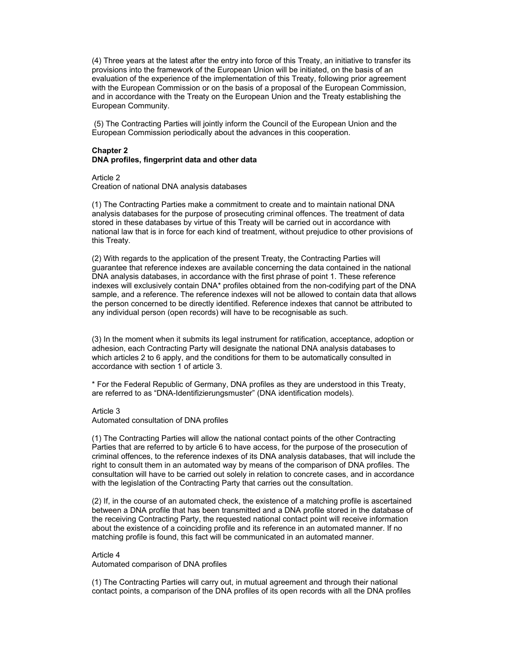(4) Three years at the latest after the entry into force of this Treaty, an initiative to transfer its provisions into the framework of the European Union will be initiated, on the basis of an evaluation of the experience of the implementation of this Treaty, following prior agreement with the European Commission or on the basis of a proposal of the European Commission, and in accordance with the Treaty on the European Union and the Treaty establishing the European Community.

 (5) The Contracting Parties will jointly inform the Council of the European Union and the European Commission periodically about the advances in this cooperation.

# **Chapter 2 DNA profiles, fingerprint data and other data**

Article 2

Creation of national DNA analysis databases

(1) The Contracting Parties make a commitment to create and to maintain national DNA analysis databases for the purpose of prosecuting criminal offences. The treatment of data stored in these databases by virtue of this Treaty will be carried out in accordance with national law that is in force for each kind of treatment, without prejudice to other provisions of this Treaty.

(2) With regards to the application of the present Treaty, the Contracting Parties will guarantee that reference indexes are available concerning the data contained in the national DNA analysis databases, in accordance with the first phrase of point 1. These reference indexes will exclusively contain DNA\* profiles obtained from the non-codifying part of the DNA sample, and a reference. The reference indexes will not be allowed to contain data that allows the person concerned to be directly identified. Reference indexes that cannot be attributed to any individual person (open records) will have to be recognisable as such.

(3) In the moment when it submits its legal instrument for ratification, acceptance, adoption or adhesion, each Contracting Party will designate the national DNA analysis databases to which articles 2 to 6 apply, and the conditions for them to be automatically consulted in accordance with section 1 of article 3.

\* For the Federal Republic of Germany, DNA profiles as they are understood in this Treaty, are referred to as "DNA-Identifizierungsmuster" (DNA identification models).

### Article 3

Automated consultation of DNA profiles

(1) The Contracting Parties will allow the national contact points of the other Contracting Parties that are referred to by article 6 to have access, for the purpose of the prosecution of criminal offences, to the reference indexes of its DNA analysis databases, that will include the right to consult them in an automated way by means of the comparison of DNA profiles. The consultation will have to be carried out solely in relation to concrete cases, and in accordance with the legislation of the Contracting Party that carries out the consultation.

(2) If, in the course of an automated check, the existence of a matching profile is ascertained between a DNA profile that has been transmitted and a DNA profile stored in the database of the receiving Contracting Party, the requested national contact point will receive information about the existence of a coinciding profile and its reference in an automated manner. If no matching profile is found, this fact will be communicated in an automated manner.

### Article 4

Automated comparison of DNA profiles

(1) The Contracting Parties will carry out, in mutual agreement and through their national contact points, a comparison of the DNA profiles of its open records with all the DNA profiles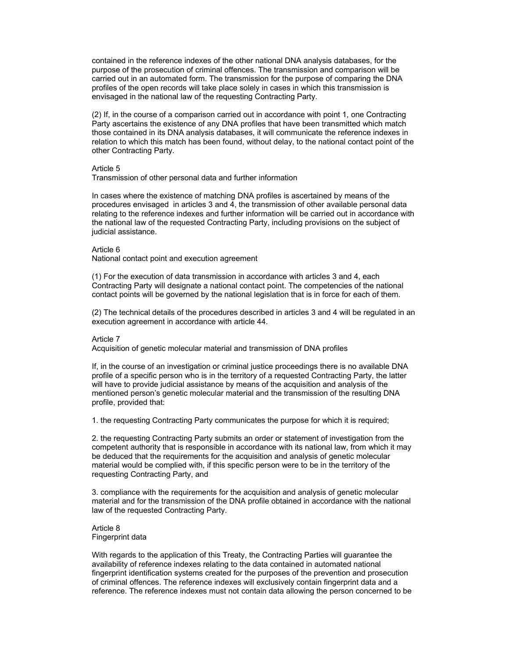contained in the reference indexes of the other national DNA analysis databases, for the purpose of the prosecution of criminal offences. The transmission and comparison will be carried out in an automated form. The transmission for the purpose of comparing the DNA profiles of the open records will take place solely in cases in which this transmission is envisaged in the national law of the requesting Contracting Party.

(2) If, in the course of a comparison carried out in accordance with point 1, one Contracting Party ascertains the existence of any DNA profiles that have been transmitted which match those contained in its DNA analysis databases, it will communicate the reference indexes in relation to which this match has been found, without delay, to the national contact point of the other Contracting Party.

#### Article 5

Transmission of other personal data and further information

In cases where the existence of matching DNA profiles is ascertained by means of the procedures envisaged in articles 3 and 4, the transmission of other available personal data relating to the reference indexes and further information will be carried out in accordance with the national law of the requested Contracting Party, including provisions on the subject of judicial assistance.

#### Article 6

National contact point and execution agreement

(1) For the execution of data transmission in accordance with articles 3 and 4, each Contracting Party will designate a national contact point. The competencies of the national contact points will be governed by the national legislation that is in force for each of them.

(2) The technical details of the procedures described in articles 3 and 4 will be regulated in an execution agreement in accordance with article 44.

#### Article 7

Acquisition of genetic molecular material and transmission of DNA profiles

If, in the course of an investigation or criminal justice proceedings there is no available DNA profile of a specific person who is in the territory of a requested Contracting Party, the latter will have to provide judicial assistance by means of the acquisition and analysis of the mentioned person's genetic molecular material and the transmission of the resulting DNA profile, provided that:

1. the requesting Contracting Party communicates the purpose for which it is required;

2. the requesting Contracting Party submits an order or statement of investigation from the competent authority that is responsible in accordance with its national law, from which it may be deduced that the requirements for the acquisition and analysis of genetic molecular material would be complied with, if this specific person were to be in the territory of the requesting Contracting Party, and

3. compliance with the requirements for the acquisition and analysis of genetic molecular material and for the transmission of the DNA profile obtained in accordance with the national law of the requested Contracting Party.

### Article 8 Fingerprint data

With regards to the application of this Treaty, the Contracting Parties will guarantee the availability of reference indexes relating to the data contained in automated national fingerprint identification systems created for the purposes of the prevention and prosecution of criminal offences. The reference indexes will exclusively contain fingerprint data and a reference. The reference indexes must not contain data allowing the person concerned to be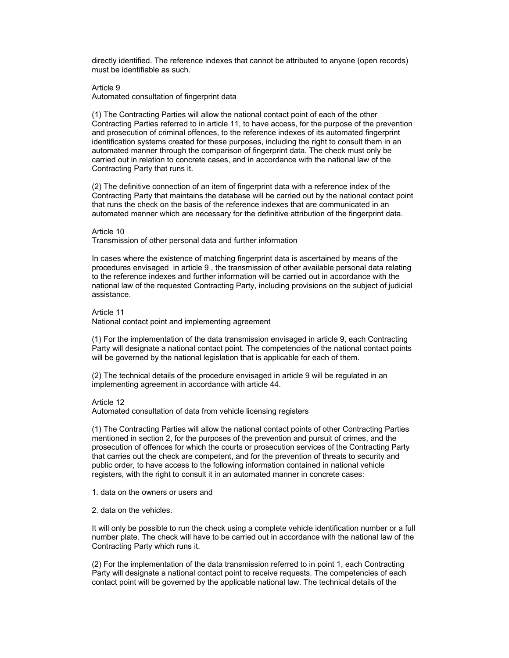directly identified. The reference indexes that cannot be attributed to anyone (open records) must be identifiable as such.

### Article 9

Automated consultation of fingerprint data

(1) The Contracting Parties will allow the national contact point of each of the other Contracting Parties referred to in article 11, to have access, for the purpose of the prevention and prosecution of criminal offences, to the reference indexes of its automated fingerprint identification systems created for these purposes, including the right to consult them in an automated manner through the comparison of fingerprint data. The check must only be carried out in relation to concrete cases, and in accordance with the national law of the Contracting Party that runs it.

(2) The definitive connection of an item of fingerprint data with a reference index of the Contracting Party that maintains the database will be carried out by the national contact point that runs the check on the basis of the reference indexes that are communicated in an automated manner which are necessary for the definitive attribution of the fingerprint data.

### Article 10

Transmission of other personal data and further information

In cases where the existence of matching fingerprint data is ascertained by means of the procedures envisaged in article 9 , the transmission of other available personal data relating to the reference indexes and further information will be carried out in accordance with the national law of the requested Contracting Party, including provisions on the subject of judicial assistance.

## Article 11

National contact point and implementing agreement

(1) For the implementation of the data transmission envisaged in article 9, each Contracting Party will designate a national contact point. The competencies of the national contact points will be governed by the national legislation that is applicable for each of them.

(2) The technical details of the procedure envisaged in article 9 will be regulated in an implementing agreement in accordance with article 44.

### Article 12

Automated consultation of data from vehicle licensing registers

(1) The Contracting Parties will allow the national contact points of other Contracting Parties mentioned in section 2, for the purposes of the prevention and pursuit of crimes, and the prosecution of offences for which the courts or prosecution services of the Contracting Party that carries out the check are competent, and for the prevention of threats to security and public order, to have access to the following information contained in national vehicle registers, with the right to consult it in an automated manner in concrete cases:

- 1. data on the owners or users and
- 2. data on the vehicles.

It will only be possible to run the check using a complete vehicle identification number or a full number plate. The check will have to be carried out in accordance with the national law of the Contracting Party which runs it.

(2) For the implementation of the data transmission referred to in point 1, each Contracting Party will designate a national contact point to receive requests. The competencies of each contact point will be governed by the applicable national law. The technical details of the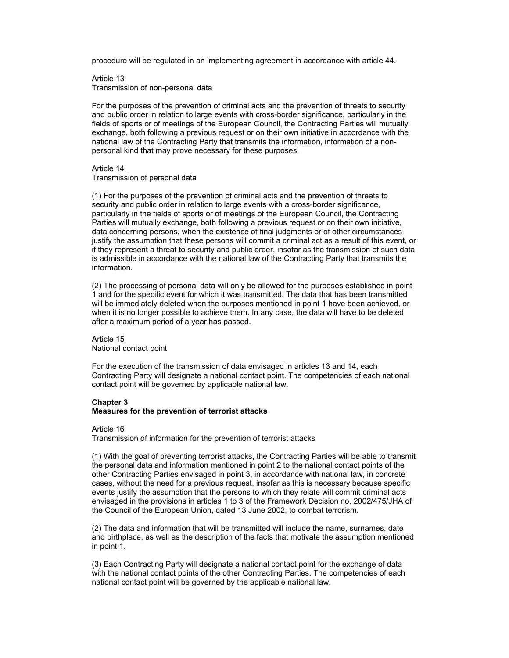procedure will be regulated in an implementing agreement in accordance with article 44.

Article 13 Transmission of non-personal data

For the purposes of the prevention of criminal acts and the prevention of threats to security and public order in relation to large events with cross-border significance, particularly in the fields of sports or of meetings of the European Council, the Contracting Parties will mutually exchange, both following a previous request or on their own initiative in accordance with the national law of the Contracting Party that transmits the information, information of a nonpersonal kind that may prove necessary for these purposes.

# Article 14

Transmission of personal data

(1) For the purposes of the prevention of criminal acts and the prevention of threats to security and public order in relation to large events with a cross-border significance, particularly in the fields of sports or of meetings of the European Council, the Contracting Parties will mutually exchange, both following a previous request or on their own initiative, data concerning persons, when the existence of final judgments or of other circumstances justify the assumption that these persons will commit a criminal act as a result of this event, or if they represent a threat to security and public order, insofar as the transmission of such data is admissible in accordance with the national law of the Contracting Party that transmits the information.

(2) The processing of personal data will only be allowed for the purposes established in point 1 and for the specific event for which it was transmitted. The data that has been transmitted will be immediately deleted when the purposes mentioned in point 1 have been achieved, or when it is no longer possible to achieve them. In any case, the data will have to be deleted after a maximum period of a year has passed.

Article 15 National contact point

For the execution of the transmission of data envisaged in articles 13 and 14, each Contracting Party will designate a national contact point. The competencies of each national contact point will be governed by applicable national law.

## **Chapter 3**

# **Measures for the prevention of terrorist attacks**

Article 16 Transmission of information for the prevention of terrorist attacks

(1) With the goal of preventing terrorist attacks, the Contracting Parties will be able to transmit the personal data and information mentioned in point 2 to the national contact points of the other Contracting Parties envisaged in point 3, in accordance with national law, in concrete cases, without the need for a previous request, insofar as this is necessary because specific events justify the assumption that the persons to which they relate will commit criminal acts envisaged in the provisions in articles 1 to 3 of the Framework Decision no. 2002/475/JHA of the Council of the European Union, dated 13 June 2002, to combat terrorism.

(2) The data and information that will be transmitted will include the name, surnames, date and birthplace, as well as the description of the facts that motivate the assumption mentioned in point 1.

(3) Each Contracting Party will designate a national contact point for the exchange of data with the national contact points of the other Contracting Parties. The competencies of each national contact point will be governed by the applicable national law.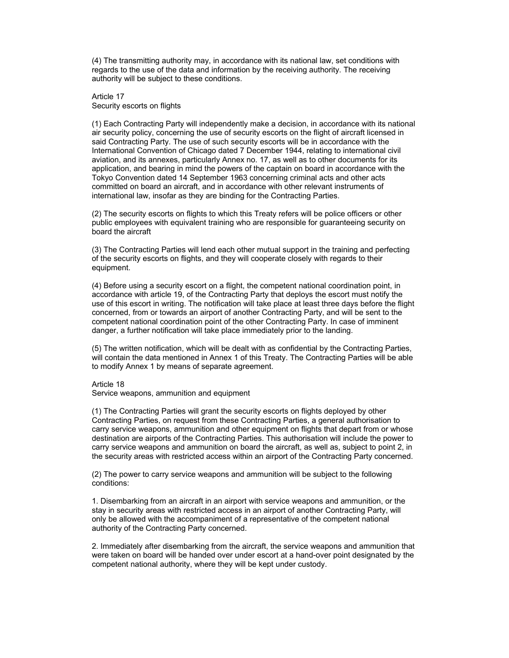(4) The transmitting authority may, in accordance with its national law, set conditions with regards to the use of the data and information by the receiving authority. The receiving authority will be subject to these conditions.

Article 17 Security escorts on flights

(1) Each Contracting Party will independently make a decision, in accordance with its national air security policy, concerning the use of security escorts on the flight of aircraft licensed in said Contracting Party. The use of such security escorts will be in accordance with the International Convention of Chicago dated 7 December 1944, relating to international civil aviation, and its annexes, particularly Annex no. 17, as well as to other documents for its application, and bearing in mind the powers of the captain on board in accordance with the Tokyo Convention dated 14 September 1963 concerning criminal acts and other acts committed on board an aircraft, and in accordance with other relevant instruments of international law, insofar as they are binding for the Contracting Parties.

(2) The security escorts on flights to which this Treaty refers will be police officers or other public employees with equivalent training who are responsible for guaranteeing security on board the aircraft

(3) The Contracting Parties will lend each other mutual support in the training and perfecting of the security escorts on flights, and they will cooperate closely with regards to their equipment.

(4) Before using a security escort on a flight, the competent national coordination point, in accordance with article 19, of the Contracting Party that deploys the escort must notify the use of this escort in writing. The notification will take place at least three days before the flight concerned, from or towards an airport of another Contracting Party, and will be sent to the competent national coordination point of the other Contracting Party. In case of imminent danger, a further notification will take place immediately prior to the landing.

(5) The written notification, which will be dealt with as confidential by the Contracting Parties, will contain the data mentioned in Annex 1 of this Treaty. The Contracting Parties will be able to modify Annex 1 by means of separate agreement.

## Article 18

Service weapons, ammunition and equipment

(1) The Contracting Parties will grant the security escorts on flights deployed by other Contracting Parties, on request from these Contracting Parties, a general authorisation to carry service weapons, ammunition and other equipment on flights that depart from or whose destination are airports of the Contracting Parties. This authorisation will include the power to carry service weapons and ammunition on board the aircraft, as well as, subject to point 2, in the security areas with restricted access within an airport of the Contracting Party concerned.

(2) The power to carry service weapons and ammunition will be subject to the following conditions:

1. Disembarking from an aircraft in an airport with service weapons and ammunition, or the stay in security areas with restricted access in an airport of another Contracting Party, will only be allowed with the accompaniment of a representative of the competent national authority of the Contracting Party concerned.

2. Immediately after disembarking from the aircraft, the service weapons and ammunition that were taken on board will be handed over under escort at a hand-over point designated by the competent national authority, where they will be kept under custody.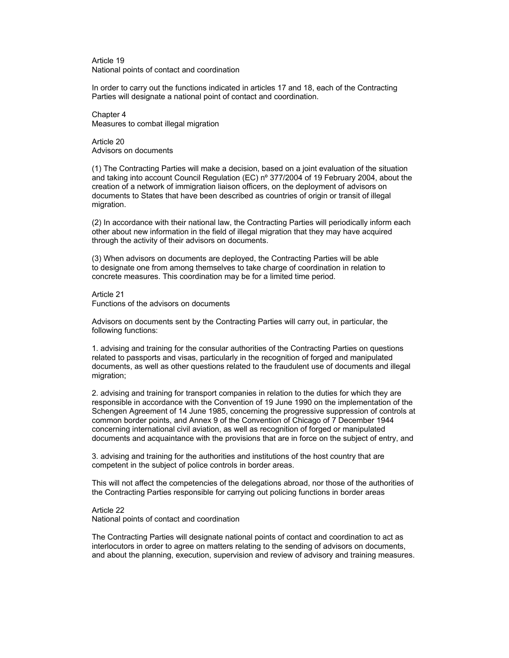Article 19 National points of contact and coordination

In order to carry out the functions indicated in articles 17 and 18, each of the Contracting Parties will designate a national point of contact and coordination.

Chapter 4 Measures to combat illegal migration

Article 20 Advisors on documents

(1) The Contracting Parties will make a decision, based on a joint evaluation of the situation and taking into account Council Regulation (EC) nº 377/2004 of 19 February 2004, about the creation of a network of immigration liaison officers, on the deployment of advisors on documents to States that have been described as countries of origin or transit of illegal migration.

(2) In accordance with their national law, the Contracting Parties will periodically inform each other about new information in the field of illegal migration that they may have acquired through the activity of their advisors on documents.

(3) When advisors on documents are deployed, the Contracting Parties will be able to designate one from among themselves to take charge of coordination in relation to concrete measures. This coordination may be for a limited time period.

Article 21 Functions of the advisors on documents

Advisors on documents sent by the Contracting Parties will carry out, in particular, the following functions:

1. advising and training for the consular authorities of the Contracting Parties on questions related to passports and visas, particularly in the recognition of forged and manipulated documents, as well as other questions related to the fraudulent use of documents and illegal migration;

2. advising and training for transport companies in relation to the duties for which they are responsible in accordance with the Convention of 19 June 1990 on the implementation of the Schengen Agreement of 14 June 1985, concerning the progressive suppression of controls at common border points, and Annex 9 of the Convention of Chicago of 7 December 1944 concerning international civil aviation, as well as recognition of forged or manipulated documents and acquaintance with the provisions that are in force on the subject of entry, and

3. advising and training for the authorities and institutions of the host country that are competent in the subject of police controls in border areas.

This will not affect the competencies of the delegations abroad, nor those of the authorities of the Contracting Parties responsible for carrying out policing functions in border areas

Article 22 National points of contact and coordination

The Contracting Parties will designate national points of contact and coordination to act as interlocutors in order to agree on matters relating to the sending of advisors on documents, and about the planning, execution, supervision and review of advisory and training measures.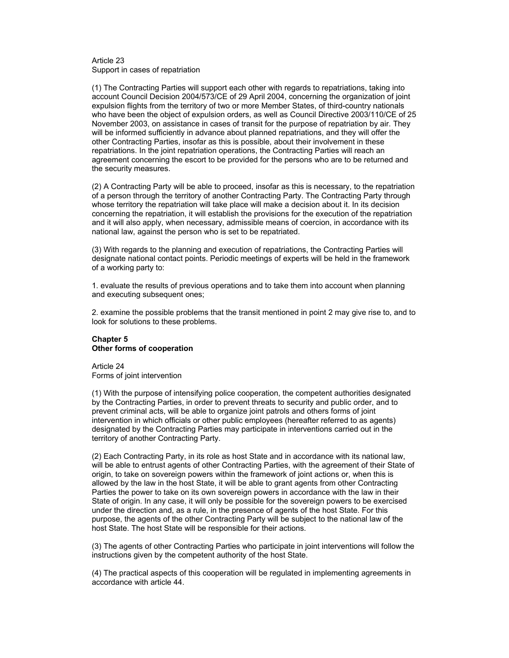#### Article 23 Support in cases of repatriation

(1) The Contracting Parties will support each other with regards to repatriations, taking into account Council Decision 2004/573/CE of 29 April 2004, concerning the organization of joint expulsion flights from the territory of two or more Member States, of third-country nationals who have been the object of expulsion orders, as well as Council Directive 2003/110/CE of 25 November 2003, on assistance in cases of transit for the purpose of repatriation by air. They will be informed sufficiently in advance about planned repatriations, and they will offer the other Contracting Parties, insofar as this is possible, about their involvement in these repatriations. In the joint repatriation operations, the Contracting Parties will reach an agreement concerning the escort to be provided for the persons who are to be returned and the security measures.

(2) A Contracting Party will be able to proceed, insofar as this is necessary, to the repatriation of a person through the territory of another Contracting Party. The Contracting Party through whose territory the repatriation will take place will make a decision about it. In its decision concerning the repatriation, it will establish the provisions for the execution of the repatriation and it will also apply, when necessary, admissible means of coercion, in accordance with its national law, against the person who is set to be repatriated.

(3) With regards to the planning and execution of repatriations, the Contracting Parties will designate national contact points. Periodic meetings of experts will be held in the framework of a working party to:

1. evaluate the results of previous operations and to take them into account when planning and executing subsequent ones;

2. examine the possible problems that the transit mentioned in point 2 may give rise to, and to look for solutions to these problems.

# **Chapter 5 Other forms of cooperation**

Article 24 Forms of joint intervention

(1) With the purpose of intensifying police cooperation, the competent authorities designated by the Contracting Parties, in order to prevent threats to security and public order, and to prevent criminal acts, will be able to organize joint patrols and others forms of joint intervention in which officials or other public employees (hereafter referred to as agents) designated by the Contracting Parties may participate in interventions carried out in the territory of another Contracting Party.

(2) Each Contracting Party, in its role as host State and in accordance with its national law, will be able to entrust agents of other Contracting Parties, with the agreement of their State of origin, to take on sovereign powers within the framework of joint actions or, when this is allowed by the law in the host State, it will be able to grant agents from other Contracting Parties the power to take on its own sovereign powers in accordance with the law in their State of origin. In any case, it will only be possible for the sovereign powers to be exercised under the direction and, as a rule, in the presence of agents of the host State. For this purpose, the agents of the other Contracting Party will be subject to the national law of the host State. The host State will be responsible for their actions.

(3) The agents of other Contracting Parties who participate in joint interventions will follow the instructions given by the competent authority of the host State.

(4) The practical aspects of this cooperation will be regulated in implementing agreements in accordance with article 44.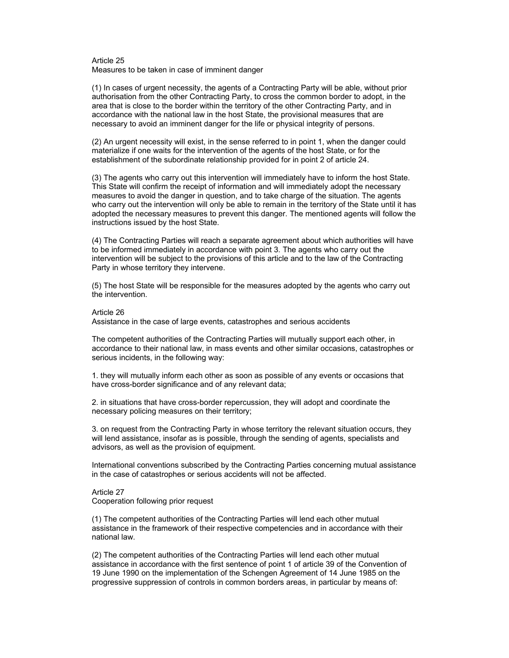### Article 25 Measures to be taken in case of imminent danger

(1) In cases of urgent necessity, the agents of a Contracting Party will be able, without prior authorisation from the other Contracting Party, to cross the common border to adopt, in the area that is close to the border within the territory of the other Contracting Party, and in accordance with the national law in the host State, the provisional measures that are necessary to avoid an imminent danger for the life or physical integrity of persons.

(2) An urgent necessity will exist, in the sense referred to in point 1, when the danger could materialize if one waits for the intervention of the agents of the host State, or for the establishment of the subordinate relationship provided for in point 2 of article 24.

(3) The agents who carry out this intervention will immediately have to inform the host State. This State will confirm the receipt of information and will immediately adopt the necessary measures to avoid the danger in question, and to take charge of the situation. The agents who carry out the intervention will only be able to remain in the territory of the State until it has adopted the necessary measures to prevent this danger. The mentioned agents will follow the instructions issued by the host State.

(4) The Contracting Parties will reach a separate agreement about which authorities will have to be informed immediately in accordance with point 3. The agents who carry out the intervention will be subject to the provisions of this article and to the law of the Contracting Party in whose territory they intervene.

(5) The host State will be responsible for the measures adopted by the agents who carry out the intervention.

#### Article 26

Assistance in the case of large events, catastrophes and serious accidents

The competent authorities of the Contracting Parties will mutually support each other, in accordance to their national law, in mass events and other similar occasions, catastrophes or serious incidents, in the following way:

1. they will mutually inform each other as soon as possible of any events or occasions that have cross-border significance and of any relevant data;

2. in situations that have cross-border repercussion, they will adopt and coordinate the necessary policing measures on their territory;

3. on request from the Contracting Party in whose territory the relevant situation occurs, they will lend assistance, insofar as is possible, through the sending of agents, specialists and advisors, as well as the provision of equipment.

International conventions subscribed by the Contracting Parties concerning mutual assistance in the case of catastrophes or serious accidents will not be affected.

## Article 27 Cooperation following prior request

(1) The competent authorities of the Contracting Parties will lend each other mutual assistance in the framework of their respective competencies and in accordance with their national law.

(2) The competent authorities of the Contracting Parties will lend each other mutual assistance in accordance with the first sentence of point 1 of article 39 of the Convention of 19 June 1990 on the implementation of the Schengen Agreement of 14 June 1985 on the progressive suppression of controls in common borders areas, in particular by means of: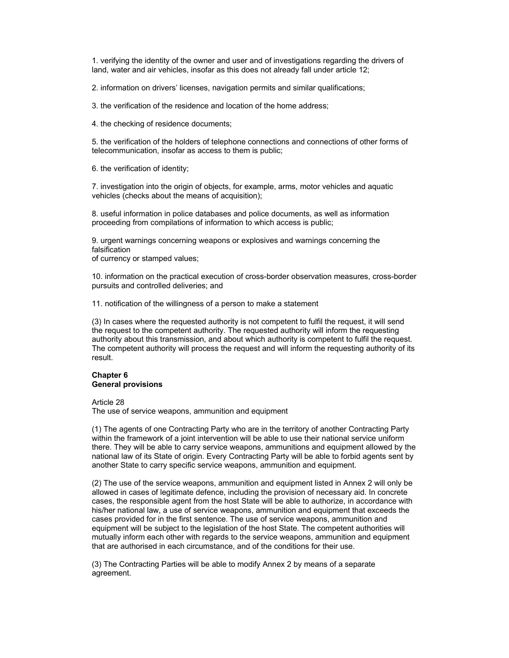1. verifying the identity of the owner and user and of investigations regarding the drivers of land, water and air vehicles, insofar as this does not already fall under article 12;

2. information on drivers' licenses, navigation permits and similar qualifications;

3. the verification of the residence and location of the home address;

4. the checking of residence documents;

5. the verification of the holders of telephone connections and connections of other forms of telecommunication, insofar as access to them is public;

6. the verification of identity;

7. investigation into the origin of objects, for example, arms, motor vehicles and aquatic vehicles (checks about the means of acquisition);

8. useful information in police databases and police documents, as well as information proceeding from compilations of information to which access is public;

9. urgent warnings concerning weapons or explosives and warnings concerning the falsification

of currency or stamped values;

10. information on the practical execution of cross-border observation measures, cross-border pursuits and controlled deliveries; and

11. notification of the willingness of a person to make a statement

(3) In cases where the requested authority is not competent to fulfil the request, it will send the request to the competent authority. The requested authority will inform the requesting authority about this transmission, and about which authority is competent to fulfil the request. The competent authority will process the request and will inform the requesting authority of its result.

### **Chapter 6 General provisions**

Article 28

The use of service weapons, ammunition and equipment

(1) The agents of one Contracting Party who are in the territory of another Contracting Party within the framework of a joint intervention will be able to use their national service uniform there. They will be able to carry service weapons, ammunitions and equipment allowed by the national law of its State of origin. Every Contracting Party will be able to forbid agents sent by another State to carry specific service weapons, ammunition and equipment.

(2) The use of the service weapons, ammunition and equipment listed in Annex 2 will only be allowed in cases of legitimate defence, including the provision of necessary aid. In concrete cases, the responsible agent from the host State will be able to authorize, in accordance with his/her national law, a use of service weapons, ammunition and equipment that exceeds the cases provided for in the first sentence. The use of service weapons, ammunition and equipment will be subject to the legislation of the host State. The competent authorities will mutually inform each other with regards to the service weapons, ammunition and equipment that are authorised in each circumstance, and of the conditions for their use.

(3) The Contracting Parties will be able to modify Annex 2 by means of a separate agreement.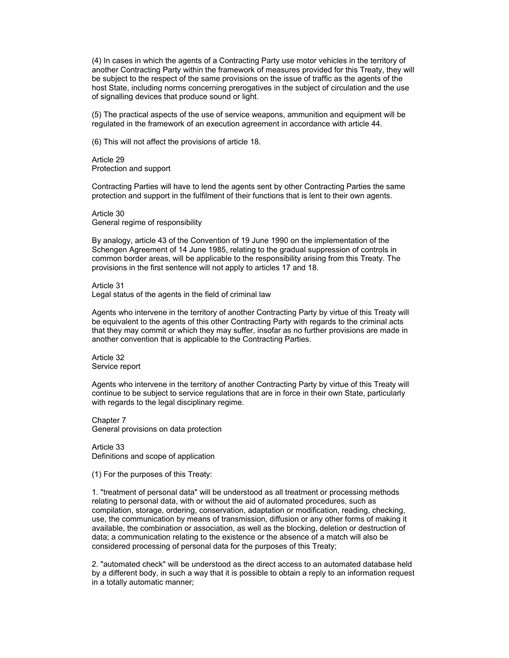(4) In cases in which the agents of a Contracting Party use motor vehicles in the territory of another Contracting Party within the framework of measures provided for this Treaty, they will be subject to the respect of the same provisions on the issue of traffic as the agents of the host State, including norms concerning prerogatives in the subject of circulation and the use of signalling devices that produce sound or light.

(5) The practical aspects of the use of service weapons, ammunition and equipment will be regulated in the framework of an execution agreement in accordance with article 44.

(6) This will not affect the provisions of article 18.

Article 29 Protection and support

Contracting Parties will have to lend the agents sent by other Contracting Parties the same protection and support in the fulfilment of their functions that is lent to their own agents.

Article 30 General regime of responsibility

By analogy, article 43 of the Convention of 19 June 1990 on the implementation of the Schengen Agreement of 14 June 1985, relating to the gradual suppression of controls in common border areas, will be applicable to the responsibility arising from this Treaty. The provisions in the first sentence will not apply to articles 17 and 18.

Article 31

Legal status of the agents in the field of criminal law

Agents who intervene in the territory of another Contracting Party by virtue of this Treaty will be equivalent to the agents of this other Contracting Party with regards to the criminal acts that they may commit or which they may suffer, insofar as no further provisions are made in another convention that is applicable to the Contracting Parties.

Article 32 Service report

Agents who intervene in the territory of another Contracting Party by virtue of this Treaty will continue to be subject to service regulations that are in force in their own State, particularly with regards to the legal disciplinary regime.

Chapter 7 General provisions on data protection

Article 33 Definitions and scope of application

(1) For the purposes of this Treaty:

1. "treatment of personal data" will be understood as all treatment or processing methods relating to personal data, with or without the aid of automated procedures, such as compilation, storage, ordering, conservation, adaptation or modification, reading, checking, use, the communication by means of transmission, diffusion or any other forms of making it available, the combination or association, as well as the blocking, deletion or destruction of data; a communication relating to the existence or the absence of a match will also be considered processing of personal data for the purposes of this Treaty;

2. "automated check" will be understood as the direct access to an automated database held by a different body, in such a way that it is possible to obtain a reply to an information request in a totally automatic manner;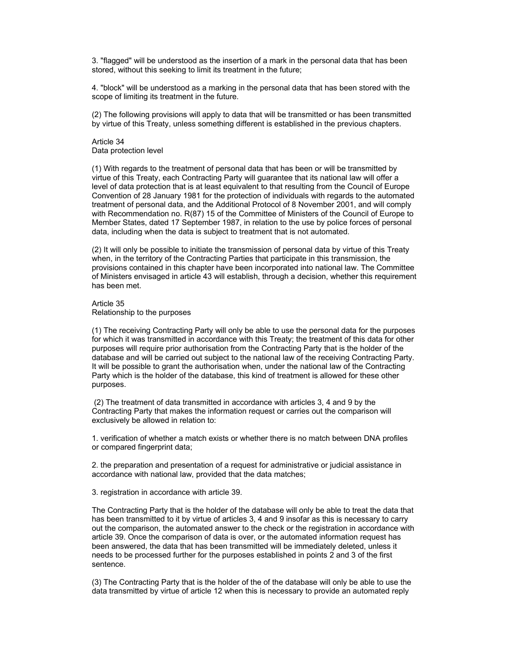3. "flagged" will be understood as the insertion of a mark in the personal data that has been stored, without this seeking to limit its treatment in the future;

4. "block" will be understood as a marking in the personal data that has been stored with the scope of limiting its treatment in the future.

(2) The following provisions will apply to data that will be transmitted or has been transmitted by virtue of this Treaty, unless something different is established in the previous chapters.

## Article 34 Data protection level

(1) With regards to the treatment of personal data that has been or will be transmitted by virtue of this Treaty, each Contracting Party will guarantee that its national law will offer a level of data protection that is at least equivalent to that resulting from the Council of Europe Convention of 28 January 1981 for the protection of individuals with regards to the automated treatment of personal data, and the Additional Protocol of 8 November 2001, and will comply with Recommendation no. R(87) 15 of the Committee of Ministers of the Council of Europe to Member States, dated 17 September 1987, in relation to the use by police forces of personal data, including when the data is subject to treatment that is not automated.

(2) It will only be possible to initiate the transmission of personal data by virtue of this Treaty when, in the territory of the Contracting Parties that participate in this transmission, the provisions contained in this chapter have been incorporated into national law. The Committee of Ministers envisaged in article 43 will establish, through a decision, whether this requirement has been met.

Article 35 Relationship to the purposes

(1) The receiving Contracting Party will only be able to use the personal data for the purposes for which it was transmitted in accordance with this Treaty; the treatment of this data for other purposes will require prior authorisation from the Contracting Party that is the holder of the database and will be carried out subject to the national law of the receiving Contracting Party. It will be possible to grant the authorisation when, under the national law of the Contracting Party which is the holder of the database, this kind of treatment is allowed for these other purposes.

 (2) The treatment of data transmitted in accordance with articles 3, 4 and 9 by the Contracting Party that makes the information request or carries out the comparison will exclusively be allowed in relation to:

1. verification of whether a match exists or whether there is no match between DNA profiles or compared fingerprint data;

2. the preparation and presentation of a request for administrative or judicial assistance in accordance with national law, provided that the data matches;

3. registration in accordance with article 39.

The Contracting Party that is the holder of the database will only be able to treat the data that has been transmitted to it by virtue of articles 3, 4 and 9 insofar as this is necessary to carry out the comparison, the automated answer to the check or the registration in accordance with article 39. Once the comparison of data is over, or the automated information request has been answered, the data that has been transmitted will be immediately deleted, unless it needs to be processed further for the purposes established in points 2 and 3 of the first sentence.

(3) The Contracting Party that is the holder of the of the database will only be able to use the data transmitted by virtue of article 12 when this is necessary to provide an automated reply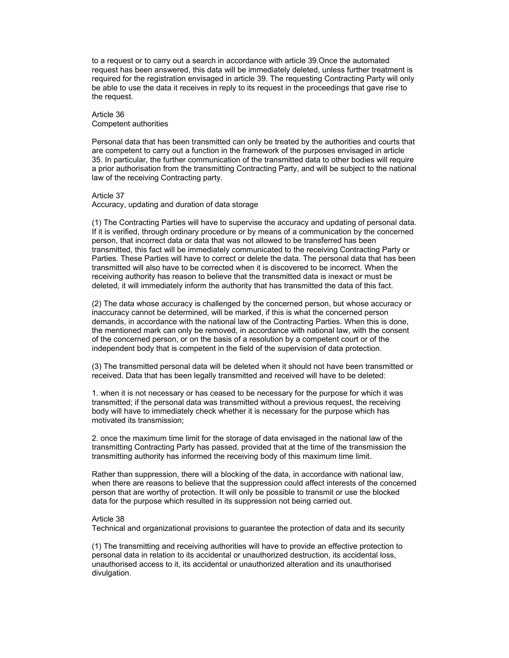to a request or to carry out a search in accordance with article 39.Once the automated request has been answered, this data will be immediately deleted, unless further treatment is required for the registration envisaged in article 39. The requesting Contracting Party will only be able to use the data it receives in reply to its request in the proceedings that gave rise to the request.

## Article 36 Competent authorities

Personal data that has been transmitted can only be treated by the authorities and courts that are competent to carry out a function in the framework of the purposes envisaged in article 35. In particular, the further communication of the transmitted data to other bodies will require a prior authorisation from the transmitting Contracting Party, and will be subject to the national law of the receiving Contracting party.

## Article 37

Accuracy, updating and duration of data storage

(1) The Contracting Parties will have to supervise the accuracy and updating of personal data. If it is verified, through ordinary procedure or by means of a communication by the concerned person, that incorrect data or data that was not allowed to be transferred has been transmitted, this fact will be immediately communicated to the receiving Contracting Party or Parties. These Parties will have to correct or delete the data. The personal data that has been transmitted will also have to be corrected when it is discovered to be incorrect. When the receiving authority has reason to believe that the transmitted data is inexact or must be deleted, it will immediately inform the authority that has transmitted the data of this fact.

(2) The data whose accuracy is challenged by the concerned person, but whose accuracy or inaccuracy cannot be determined, will be marked, if this is what the concerned person demands, in accordance with the national law of the Contracting Parties. When this is done, the mentioned mark can only be removed, in accordance with national law, with the consent of the concerned person, or on the basis of a resolution by a competent court or of the independent body that is competent in the field of the supervision of data protection.

(3) The transmitted personal data will be deleted when it should not have been transmitted or received. Data that has been legally transmitted and received will have to be deleted:

1. when it is not necessary or has ceased to be necessary for the purpose for which it was transmitted; if the personal data was transmitted without a previous request, the receiving body will have to immediately check whether it is necessary for the purpose which has motivated its transmission;

2. once the maximum time limit for the storage of data envisaged in the national law of the transmitting Contracting Party has passed, provided that at the time of the transmission the transmitting authority has informed the receiving body of this maximum time limit.

Rather than suppression, there will a blocking of the data, in accordance with national law, when there are reasons to believe that the suppression could affect interests of the concerned person that are worthy of protection. It will only be possible to transmit or use the blocked data for the purpose which resulted in its suppression not being carried out.

### Article 38

Technical and organizational provisions to guarantee the protection of data and its security

(1) The transmitting and receiving authorities will have to provide an effective protection to personal data in relation to its accidental or unauthorized destruction, its accidental loss, unauthorised access to it, its accidental or unauthorized alteration and its unauthorised divulgation.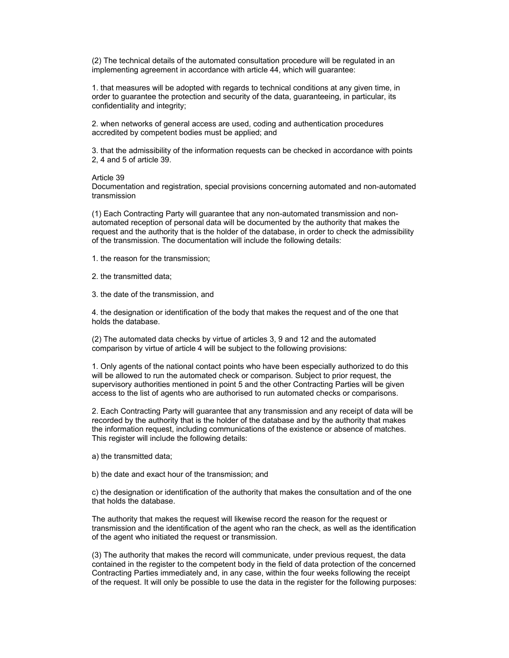(2) The technical details of the automated consultation procedure will be regulated in an implementing agreement in accordance with article 44, which will guarantee:

1. that measures will be adopted with regards to technical conditions at any given time, in order to guarantee the protection and security of the data, guaranteeing, in particular, its confidentiality and integrity;

2. when networks of general access are used, coding and authentication procedures accredited by competent bodies must be applied; and

3. that the admissibility of the information requests can be checked in accordance with points 2, 4 and 5 of article 39.

### Article 39

Documentation and registration, special provisions concerning automated and non-automated transmission

(1) Each Contracting Party will guarantee that any non-automated transmission and nonautomated reception of personal data will be documented by the authority that makes the request and the authority that is the holder of the database, in order to check the admissibility of the transmission. The documentation will include the following details:

1. the reason for the transmission;

2. the transmitted data;

3. the date of the transmission, and

4. the designation or identification of the body that makes the request and of the one that holds the database.

(2) The automated data checks by virtue of articles 3, 9 and 12 and the automated comparison by virtue of article 4 will be subject to the following provisions:

1. Only agents of the national contact points who have been especially authorized to do this will be allowed to run the automated check or comparison. Subject to prior request, the supervisory authorities mentioned in point 5 and the other Contracting Parties will be given access to the list of agents who are authorised to run automated checks or comparisons.

2. Each Contracting Party will guarantee that any transmission and any receipt of data will be recorded by the authority that is the holder of the database and by the authority that makes the information request, including communications of the existence or absence of matches. This register will include the following details:

a) the transmitted data;

b) the date and exact hour of the transmission; and

c) the designation or identification of the authority that makes the consultation and of the one that holds the database.

The authority that makes the request will likewise record the reason for the request or transmission and the identification of the agent who ran the check, as well as the identification of the agent who initiated the request or transmission.

(3) The authority that makes the record will communicate, under previous request, the data contained in the register to the competent body in the field of data protection of the concerned Contracting Parties immediately and, in any case, within the four weeks following the receipt of the request. It will only be possible to use the data in the register for the following purposes: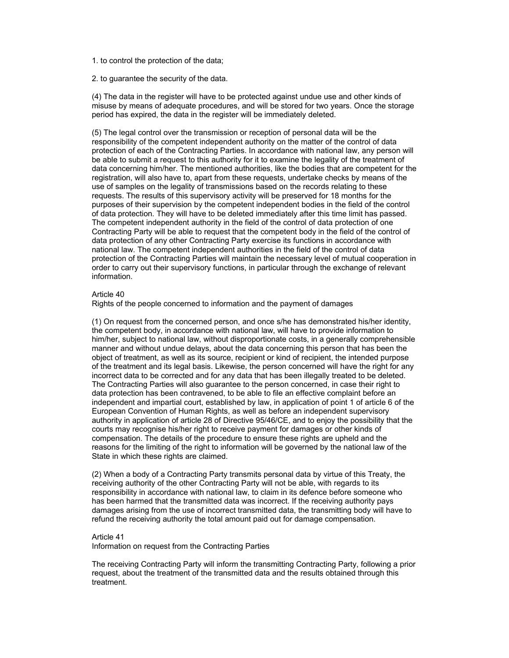### 1. to control the protection of the data;

2. to guarantee the security of the data.

(4) The data in the register will have to be protected against undue use and other kinds of misuse by means of adequate procedures, and will be stored for two years. Once the storage period has expired, the data in the register will be immediately deleted.

(5) The legal control over the transmission or reception of personal data will be the responsibility of the competent independent authority on the matter of the control of data protection of each of the Contracting Parties. In accordance with national law, any person will be able to submit a request to this authority for it to examine the legality of the treatment of data concerning him/her. The mentioned authorities, like the bodies that are competent for the registration, will also have to, apart from these requests, undertake checks by means of the use of samples on the legality of transmissions based on the records relating to these requests. The results of this supervisory activity will be preserved for 18 months for the purposes of their supervision by the competent independent bodies in the field of the control of data protection. They will have to be deleted immediately after this time limit has passed. The competent independent authority in the field of the control of data protection of one Contracting Party will be able to request that the competent body in the field of the control of data protection of any other Contracting Party exercise its functions in accordance with national law. The competent independent authorities in the field of the control of data protection of the Contracting Parties will maintain the necessary level of mutual cooperation in order to carry out their supervisory functions, in particular through the exchange of relevant information.

### Article 40

Rights of the people concerned to information and the payment of damages

(1) On request from the concerned person, and once s/he has demonstrated his/her identity, the competent body, in accordance with national law, will have to provide information to him/her, subject to national law, without disproportionate costs, in a generally comprehensible manner and without undue delays, about the data concerning this person that has been the object of treatment, as well as its source, recipient or kind of recipient, the intended purpose of the treatment and its legal basis. Likewise, the person concerned will have the right for any incorrect data to be corrected and for any data that has been illegally treated to be deleted. The Contracting Parties will also guarantee to the person concerned, in case their right to data protection has been contravened, to be able to file an effective complaint before an independent and impartial court, established by law, in application of point 1 of article 6 of the European Convention of Human Rights, as well as before an independent supervisory authority in application of article 28 of Directive 95/46/CE, and to enjoy the possibility that the courts may recognise his/her right to receive payment for damages or other kinds of compensation. The details of the procedure to ensure these rights are upheld and the reasons for the limiting of the right to information will be governed by the national law of the State in which these rights are claimed.

(2) When a body of a Contracting Party transmits personal data by virtue of this Treaty, the receiving authority of the other Contracting Party will not be able, with regards to its responsibility in accordance with national law, to claim in its defence before someone who has been harmed that the transmitted data was incorrect. If the receiving authority pays damages arising from the use of incorrect transmitted data, the transmitting body will have to refund the receiving authority the total amount paid out for damage compensation.

### Article 41

Information on request from the Contracting Parties

The receiving Contracting Party will inform the transmitting Contracting Party, following a prior request, about the treatment of the transmitted data and the results obtained through this treatment.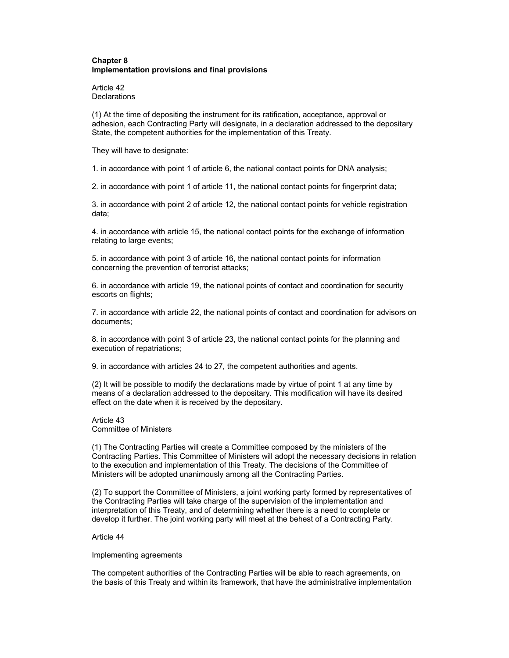## **Chapter 8 Implementation provisions and final provisions**

Article 42 **Declarations** 

(1) At the time of depositing the instrument for its ratification, acceptance, approval or adhesion, each Contracting Party will designate, in a declaration addressed to the depositary State, the competent authorities for the implementation of this Treaty.

They will have to designate:

1. in accordance with point 1 of article 6, the national contact points for DNA analysis;

2. in accordance with point 1 of article 11, the national contact points for fingerprint data;

3. in accordance with point 2 of article 12, the national contact points for vehicle registration data;

4. in accordance with article 15, the national contact points for the exchange of information relating to large events;

5. in accordance with point 3 of article 16, the national contact points for information concerning the prevention of terrorist attacks;

6. in accordance with article 19, the national points of contact and coordination for security escorts on flights;

7. in accordance with article 22, the national points of contact and coordination for advisors on documents;

8. in accordance with point 3 of article 23, the national contact points for the planning and execution of repatriations;

9. in accordance with articles 24 to 27, the competent authorities and agents.

(2) It will be possible to modify the declarations made by virtue of point 1 at any time by means of a declaration addressed to the depositary. This modification will have its desired effect on the date when it is received by the depositary.

Article 43 Committee of Ministers

(1) The Contracting Parties will create a Committee composed by the ministers of the Contracting Parties. This Committee of Ministers will adopt the necessary decisions in relation to the execution and implementation of this Treaty. The decisions of the Committee of Ministers will be adopted unanimously among all the Contracting Parties.

(2) To support the Committee of Ministers, a joint working party formed by representatives of the Contracting Parties will take charge of the supervision of the implementation and interpretation of this Treaty, and of determining whether there is a need to complete or develop it further. The joint working party will meet at the behest of a Contracting Party.

Article 44

Implementing agreements

The competent authorities of the Contracting Parties will be able to reach agreements, on the basis of this Treaty and within its framework, that have the administrative implementation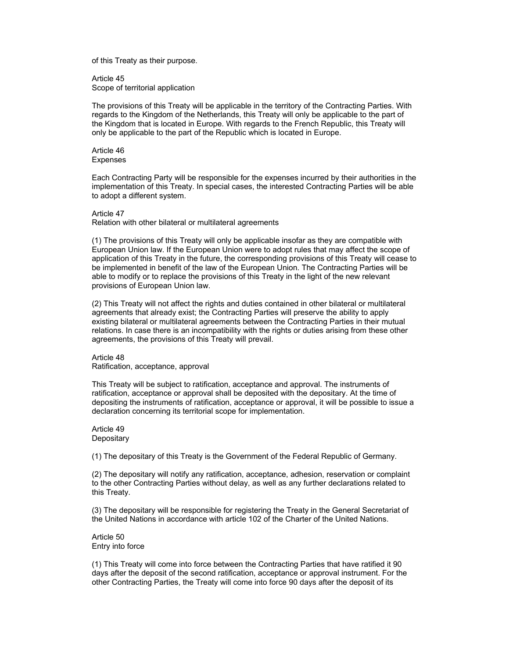of this Treaty as their purpose.

Article 45 Scope of territorial application

The provisions of this Treaty will be applicable in the territory of the Contracting Parties. With regards to the Kingdom of the Netherlands, this Treaty will only be applicable to the part of the Kingdom that is located in Europe. With regards to the French Republic, this Treaty will only be applicable to the part of the Republic which is located in Europe.

Article 46 Expenses

Each Contracting Party will be responsible for the expenses incurred by their authorities in the implementation of this Treaty. In special cases, the interested Contracting Parties will be able to adopt a different system.

Article 47

Relation with other bilateral or multilateral agreements

(1) The provisions of this Treaty will only be applicable insofar as they are compatible with European Union law. If the European Union were to adopt rules that may affect the scope of application of this Treaty in the future, the corresponding provisions of this Treaty will cease to be implemented in benefit of the law of the European Union. The Contracting Parties will be able to modify or to replace the provisions of this Treaty in the light of the new relevant provisions of European Union law.

(2) This Treaty will not affect the rights and duties contained in other bilateral or multilateral agreements that already exist; the Contracting Parties will preserve the ability to apply existing bilateral or multilateral agreements between the Contracting Parties in their mutual relations. In case there is an incompatibility with the rights or duties arising from these other agreements, the provisions of this Treaty will prevail.

Article 48 Ratification, acceptance, approval

This Treaty will be subject to ratification, acceptance and approval. The instruments of ratification, acceptance or approval shall be deposited with the depositary. At the time of depositing the instruments of ratification, acceptance or approval, it will be possible to issue a declaration concerning its territorial scope for implementation.

Article 49 **Depositary** 

(1) The depositary of this Treaty is the Government of the Federal Republic of Germany.

(2) The depositary will notify any ratification, acceptance, adhesion, reservation or complaint to the other Contracting Parties without delay, as well as any further declarations related to this Treaty.

(3) The depositary will be responsible for registering the Treaty in the General Secretariat of the United Nations in accordance with article 102 of the Charter of the United Nations.

Article 50 Entry into force

(1) This Treaty will come into force between the Contracting Parties that have ratified it 90 days after the deposit of the second ratification, acceptance or approval instrument. For the other Contracting Parties, the Treaty will come into force 90 days after the deposit of its